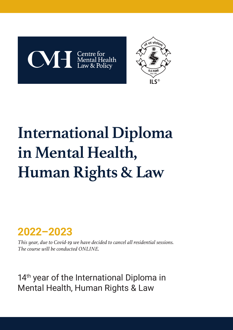



# **International Diploma in Mental Health, Human Rights & Law**

### **2022–2023**

*This year, due to Covid-19 we have decided to cancel all residential sessions. The course will be conducted ONLINE.*

14<sup>th</sup> year of the International Diploma in Mental Health, Human Rights & Law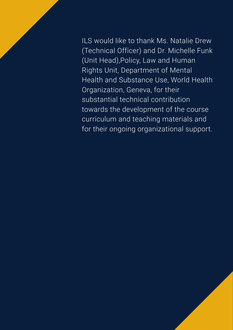ILS would like to thank Ms. Natalie Drew (Technical Officer) and Dr. Michelle Funk (Unit Head),Policy, Law and Human Rights Unit, Department of Mental Health and Substance Use, World Health Organization, Geneva, for their substantial technical contribution towards the development of the course curriculum and teaching materials and for their ongoing organizational support.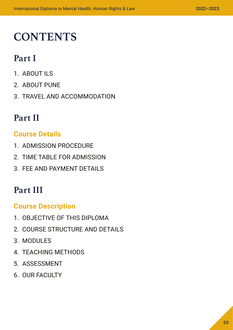### **CONTENTS**

### **Part I**

- 1. ABOUT ILS
- 2. ABOUT PUNE
- 3. TRAVEL AND ACCOMMODATION

### **Part II**

#### **Course Details**

- 1. ADMISSION PROCEDURE
- 2. TIME TABLE FOR ADMISSION
- 3. FEE AND PAYMENT DETAILS

### **Part III**

#### **Course Description**

- 1. OBJECTIVE OF THIS DIPLOMA
- 2. COURSE STRUCTURE AND DETAILS
- 3. MODULES
- 4. TEACHING METHODS
- 5. ASSESSMENT
- 6. OUR FACULTY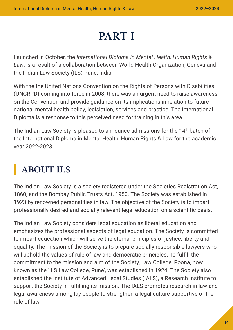### **PART I**

Launched in October, the *International Diploma in Mental Health, Human Rights & Law*, is a result of a collaboration between World Health Organization, Geneva and the Indian Law Society (ILS) Pune, India.

With the the United Nations Convention on the Rights of Persons with Disabilities (UNCRPD) coming into force in 2008, there was an urgent need to raise awareness on the Convention and provide guidance on its implications in relation to future national mental health policy, legislation, services and practice. The International Diploma is a response to this perceived need for training in this area.

The Indian Law Society is pleased to announce admissions for the 14<sup>th</sup> batch of the International Diploma in Mental Health, Human Rights & Law for the academic year 2022-2023.

### **ABOUT ILS**

The Indian Law Society is a society registered under the Societies Registration Act, 1860, and the Bombay Public Trusts Act, 1950. The Society was established in 1923 by renowned personalities in law. The objective of the Society is to impart professionally desired and socially relevant legal education on a scientific basis.

The Indian Law Society considers legal education as liberal education and emphasizes the professional aspects of legal education. The Society is committed to impart education which will serve the eternal principles of justice, liberty and equality. The mission of the Society is to prepare socially responsible lawyers who will uphold the values of rule of law and democratic principles. To fulfill the commitment to the mission and aim of the Society, Law College, Poona, now known as the 'ILS Law College, Pune', was established in 1924. The Society also established the Institute of Advanced Legal Studies (IALS), a Research Institute to support the Society in fulfilling its mission. The IALS promotes research in law and legal awareness among lay people to strengthen a legal culture supportive of the rule of law.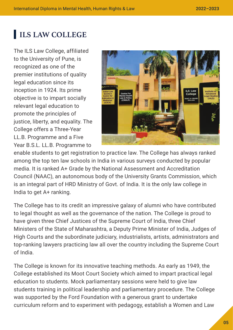#### **ILS LAW COLLEGE**

The ILS Law College, affiliated to the University of Pune, is recognized as one of the premier institutions of quality legal education since its inception in 1924. Its prime objective is to impart socially relevant legal education to promote the principles of justice, liberty, and equality. The College offers a Three-Year LL.B. Programme and a Five Year B.S.L. LL.B. Programme to



enable students to get registration to practice law. The College has always ranked among the top ten law schools in India in various surveys conducted by popular media. It is ranked A+ Grade by the National Assessment and Accreditation Council (NAAC), an autonomous body of the University Grants Commission, which is an integral part of HRD Ministry of Govt. of India. It is the only law college in India to get A+ ranking.

The College has to its credit an impressive galaxy of alumni who have contributed to legal thought as well as the governance of the nation. The College is proud to have given three Chief Justices of the Supreme Court of India, three Chief Ministers of the State of Maharashtra, a Deputy Prime Minister of India, Judges of High Courts and the subordinate judiciary, industrialists, artists, administrators and top-ranking lawyers practicing law all over the country including the Supreme Court of India.

The College is known for its innovative teaching methods. As early as 1949, the College established its Moot Court Society which aimed to impart practical legal education to students. Mock parliamentary sessions were held to give law students training in political leadership and parliamentary procedure. The College was supported by the Ford Foundation with a generous grant to undertake curriculum reform and to experiment with pedagogy, establish a Women and Law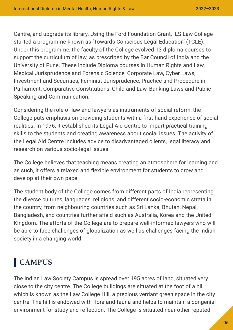Centre, and upgrade its library. Using the Ford Foundation Grant, ILS Law College started a programme known as 'Towards Conscious Legal Education' (TCLE). Under this programme, the faculty of the College evolved 13 diploma courses to support the curriculum of law, as prescribed by the Bar Council of India and the University of Pune. These include Diploma courses in Human Rights and Law, Medical Jurisprudence and Forensic Science, Corporate Law, Cyber Laws, Investment and Securities, Feminist Jurisprudence, Practice and Procedure in Parliament, Comparative Constitutions, Child and Law, Banking Laws and Public Speaking and Communication.

Considering the role of law and lawyers as instruments of social reform, the College puts emphasis on providing students with a first-hand experience of social realities. In 1976, it established its Legal Aid Centre to impart practical training skills to the students and creating awareness about social issues. The activity of the Legal Aid Centre includes advice to disadvantaged clients, legal literacy and research on various socio-legal issues.

The College believes that teaching means creating an atmosphere for learning and as such, it offers a relaxed and flexible environment for students to grow and develop at their own pace.

The student body of the College comes from different parts of India representing the diverse cultures, languages, religions, and different socio-economic strata in the country, from neighbouring countries such as Sri Lanka, Bhutan, Nepal, Bangladesh, and countries further afield such as Australia, Korea and the United Kingdom. The efforts of the College are to prepare well-informed lawyers who will be able to face challenges of globalization as well as challenges facing the Indian society in a changing world.

### **CAMPUS**

The Indian Law Society Campus is spread over 195 acres of land, situated very close to the city centre. The College buildings are situated at the foot of a hill which is known as the Law College Hill, a precious verdant green space in the city centre. The hill is endowed with flora and fauna and helps to maintain a congenial environment for study and reflection. The College is situated near other reputed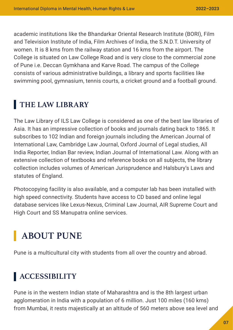academic institutions like the Bhandarkar Oriental Research Institute (BORI), Film and Television Institute of India, Film Archives of India, the S.N.D.T. University of women. It is 8 kms from the railway station and 16 kms from the airport. The College is situated on Law College Road and is very close to the commercial zone of Pune i.e. Deccan Gymkhana and Karve Road. The campus of the College consists of various administrative buildings, a library and sports facilities like swimming pool, gymnasium, tennis courts, a cricket ground and a football ground.

#### **THE LAW LIBRARY**

The Law Library of ILS Law College is considered as one of the best law libraries of Asia. It has an impressive collection of books and journals dating back to 1865. It subscribes to 102 Indian and foreign journals including the American Journal of International Law, Cambridge Law Journal, Oxford Journal of Legal studies, All India Reporter, Indian Bar review, Indian Journal of International Law. Along with an extensive collection of textbooks and reference books on all subjects, the library collection includes volumes of American Jurisprudence and Halsbury's Laws and statutes of England.

Photocopying facility is also available, and a computer lab has been installed with high speed connectivity. Students have access to CD based and online legal database services like Lexus-Nexus, Criminal Law Journal, AIR Supreme Court and High Court and SS Manupatra online services.

### **ABOUT PUNE**

Pune is a multicultural city with students from all over the country and abroad.

### **ACCESSIBILITY**

Pune is in the western Indian state of Maharashtra and is the 8th largest urban agglomeration in India with a population of 6 million. Just 100 miles (160 kms) from Mumbai, it rests majestically at an altitude of 560 meters above sea level and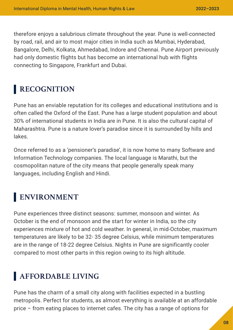therefore enjoys a salubrious climate throughout the year. Pune is well-connected by road, rail, and air to most major cities in India such as Mumbai, Hyderabad, Bangalore, Delhi, Kolkata, Ahmedabad, Indore and Chennai. Pune Airport previously had only domestic flights but has become an international hub with flights connecting to Singapore, Frankfurt and Dubai.

#### **RECOGNITION**

Pune has an enviable reputation for its colleges and educational institutions and is often called the Oxford of the East. Pune has a large student population and about 30% of international students in India are in Pune. It is also the cultural capital of Maharashtra. Pune is a nature lover's paradise since it is surrounded by hills and lakes.

Once referred to as a 'pensioner's paradise', it is now home to many Software and Information Technology companies. The local language is Marathi, but the cosmopolitan nature of the city means that people generally speak many languages, including English and Hindi.

#### **ENVIRONMENT**

Pune experiences three distinct seasons: summer, monsoon and winter. As October is the end of monsoon and the start for winter in India, so the city experiences mixture of hot and cold weather. In general, in mid-October, maximum temperatures are likely to be 32- 35 degree Celsius, while minimum temperatures are in the range of 18-22 degree Celsius. Nights in Pune are significantly cooler compared to most other parts in this region owing to its high altitude.

#### **AFFORDABLE LIVING**

Pune has the charm of a small city along with facilities expected in a bustling metropolis. Perfect for students, as almost everything is available at an affordable price – from eating places to internet cafes. The city has a range of options for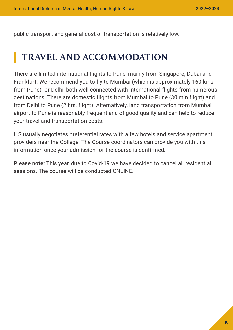public transport and general cost of transportation is relatively low.

### **TRAVEL AND ACCOMMODATION**

There are limited international flights to Pune, mainly from Singapore, Dubai and Frankfurt. We recommend you to fly to Mumbai (which is approximately 160 kms from Pune)- or Delhi, both well connected with international flights from numerous destinations. There are domestic flights from Mumbai to Pune (30 min flight) and from Delhi to Pune (2 hrs. flight). Alternatively, land transportation from Mumbai airport to Pune is reasonably frequent and of good quality and can help to reduce your travel and transportation costs.

ILS usually negotiates preferential rates with a few hotels and service apartment providers near the College. The Course coordinators can provide you with this information once your admission for the course is confirmed.

**Please note:** This year, due to Covid-19 we have decided to cancel all residential sessions. The course will be conducted ONLINE.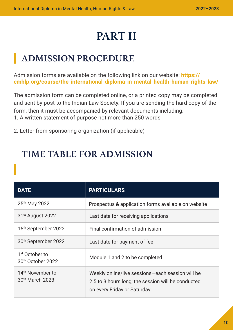## **PART II**

### **ADMISSION PROCEDURE**

Admission forms are available on the following link on our website: **[https://](https://cmhlp.org/course/the-international-diploma-in-mental-health-human-rights-law/) [cmhlp.org/course/the-international-diploma-in-mental-health-human-rights-law/](https://cmhlp.org/course/the-international-diploma-in-mental-health-human-rights-law/)** 

The admission form can be completed online, or a printed copy may be completed and sent by post to the Indian Law Society. If you are sending the hard copy of the form, then it must be accompanied by relevant documents including: 1. A written statement of purpose not more than 250 words

2. Letter from sponsoring organization (if applicable)

#### **TIME TABLE FOR ADMISSION**

| <b>DATE</b>                                                 | <b>PARTICULARS</b>                                                                                                                    |
|-------------------------------------------------------------|---------------------------------------------------------------------------------------------------------------------------------------|
| 25th May 2022                                               | Prospectus & application forms available on website                                                                                   |
| 31 <sup>st</sup> August 2022                                | Last date for receiving applications                                                                                                  |
| 15 <sup>th</sup> September 2022                             | Final confirmation of admission                                                                                                       |
| 30 <sup>th</sup> September 2022                             | Last date for payment of fee                                                                                                          |
| 1 <sup>st</sup> October to<br>30 <sup>th</sup> October 2022 | Module 1 and 2 to be completed                                                                                                        |
| 14 <sup>th</sup> November to<br>30 <sup>th</sup> March 2023 | Weekly online/live sessions-each session will be<br>2.5 to 3 hours long; the session will be conducted<br>on every Friday or Saturday |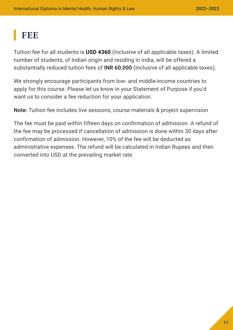### **FEE**

Tuition fee for all students is **USD 4360** (Inclusive of all applicable taxes). A limited number of students, of Indian origin and residing in India, will be offered a substantially reduced tuition fees of **INR 60,000** (Inclusive of all applicable taxes).

We strongly encourage participants from low- and middle-income countries to apply for this course. Please let us know in your Statement of Purpose if you'd want us to consider a fee reduction for your application.

**Note:** Tuition fee includes live sessions, course materials & project supervision

The fee must be paid within fifteen days on confirmation of admission. A refund of the fee may be processed if cancellation of admission is done within 30 days after confirmation of admission. However, 10% of the fee will be deducted as administrative expenses. The refund will be calculated in Indian Rupees and then converted into USD at the prevailing market rate.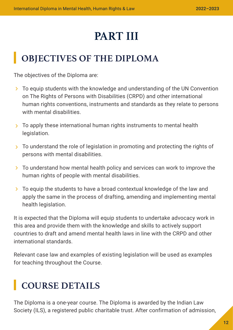### **PART III**

### **OBJECTIVES OF THE DIPLOMA**

The objectives of the Diploma are:

- To equip students with the knowledge and understanding of the UN Convention on The Rights of Persons with Disabilities (CRPD) and other international human rights conventions, instruments and standards as they relate to persons with mental disabilities.
- $\geq$  To apply these international human rights instruments to mental health legislation.
- $\geq$  To understand the role of legislation in promoting and protecting the rights of persons with mental disabilities.
- $\geq$  To understand how mental health policy and services can work to improve the human rights of people with mental disabilities.
- To equip the students to have a broad contextual knowledge of the law and apply the same in the process of drafting, amending and implementing mental health legislation.

It is expected that the Diploma will equip students to undertake advocacy work in this area and provide them with the knowledge and skills to actively support countries to draft and amend mental health laws in line with the CRPD and other international standards.

Relevant case law and examples of existing legislation will be used as examples for teaching throughout the Course.

### **COURSE DETAILS**

The Diploma is a one-year course. The Diploma is awarded by the Indian Law Society (ILS), a registered public charitable trust. After confirmation of admission,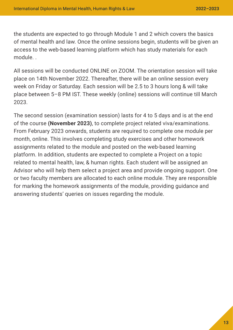the students are expected to go through Module 1 and 2 which covers the basics of mental health and law. Once the online sessions begin, students will be given an access to the web-based learning platform which has study materials for each module. .

All sessions will be conducted ONLINE on ZOOM. The orientation session will take place on 14th November 2022. Thereafter, there will be an online session every week on Friday or Saturday. Each session will be 2.5 to 3 hours long & will take place between 5–8 PM IST. These weekly (online) sessions will continue till March 2023.

The second session (examination session) lasts for 4 to 5 days and is at the end of the course **(November 2023)**, to complete project related viva/examinations. From February 2023 onwards, students are required to complete one module per month, online. This involves completing study exercises and other homework assignments related to the module and posted on the web-based learning platform. In addition, students are expected to complete a Project on a topic related to mental health, law, & human rights. Each student will be assigned an Advisor who will help them select a project area and provide ongoing support. One or two faculty members are allocated to each online module. They are responsible for marking the homework assignments of the module, providing guidance and answering students' queries on issues regarding the module.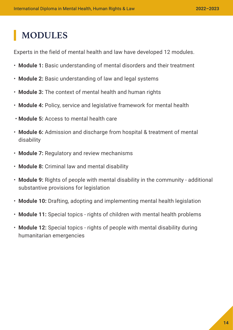### **MODULES**

Experts in the field of mental health and law have developed 12 modules.

- **Module 1:** Basic understanding of mental disorders and their treatment
- **Module 2:** Basic understanding of law and legal systems
- **Module 3:** The context of mental health and human rights
- **Module 4:** Policy, service and legislative framework for mental health
- **Module 5:** Access to mental health care
- **Module 6:** Admission and discharge from hospital & treatment of mental disability
- **Module 7:** Regulatory and review mechanisms
- **Module 8:** Criminal law and mental disability
- **Module 9:** Rights of people with mental disability in the community additional substantive provisions for legislation
- **Module 10:** Drafting, adopting and implementing mental health legislation
- **Module 11:** Special topics rights of children with mental health problems
- **Module 12:** Special topics rights of people with mental disability during humanitarian emergencies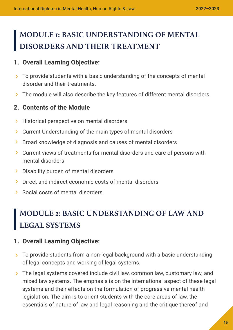### **MODULE 1: BASIC UNDERSTANDING OF MENTAL DISORDERS AND THEIR TREATMENT**

#### **1. Overall Learning Objective:**

- > To provide students with a basic understanding of the concepts of mental disorder and their treatments.
- > The module will also describe the key features of different mental disorders.

#### **2. Contents of the Module**

- **Historical perspective on mental disorders**
- Current Understanding of the main types of mental disorders
- > Broad knowledge of diagnosis and causes of mental disorders
- Current views of treatments for mental disorders and care of persons with mental disorders
- > Disability burden of mental disorders
- **>** Direct and indirect economic costs of mental disorders
- Social costs of mental disorders

### **MODULE 2: BASIC UNDERSTANDING OF LAW AND LEGAL SYSTEMS**

#### **1. Overall Learning Objective:**

- > To provide students from a non-legal background with a basic understanding of legal concepts and working of legal systems.
- The legal systems covered include civil law, common law, customary law, and mixed law systems. The emphasis is on the international aspect of these legal systems and their effects on the formulation of progressive mental health legislation. The aim is to orient students with the core areas of law, the essentials of nature of law and legal reasoning and the critique thereof and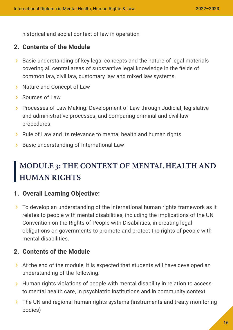historical and social context of law in operation

#### **2. Contents of the Module**

- > Basic understanding of key legal concepts and the nature of legal materials covering all central areas of substantive legal knowledge in the fields of common law, civil law, customary law and mixed law systems.
- > Nature and Concept of Law
- > Sources of Law
- > Processes of Law Making: Development of Law through Judicial, legislative and administrative processes, and comparing criminal and civil law procedures.
- **Rule of Law and its relevance to mental health and human rights**
- > Basic understanding of International Law

### **MODULE 3: THE CONTEXT OF MENTAL HEALTH AND HUMAN RIGHTS**

#### **1. Overall Learning Objective:**

To develop an understanding of the international human rights framework as it relates to people with mental disabilities, including the implications of the UN Convention on the Rights of People with Disabilities, in creating legal obligations on governments to promote and protect the rights of people with mental disabilities.

#### **2. Contents of the Module**

- At the end of the module, it is expected that students will have developed an understanding of the following:
- $\rightarrow$  Human rights violations of people with mental disability in relation to access to mental health care, in psychiatric institutions and in community context
- The UN and regional human rights systems (instruments and treaty monitoring bodies)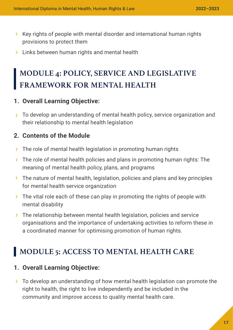- $\triangleright$  Key rights of people with mental disorder and international human rights provisions to protect them
- > Links between human rights and mental health

### **MODULE 4: POLICY, SERVICE AND LEGISLATIVE FRAMEWORK FOR MENTAL HEALTH**

#### **1. Overall Learning Objective:**

 $\rightarrow$  To develop an understanding of mental health policy, service organization and their relationship to mental health legislation

#### **2. Contents of the Module**

- $\triangleright$  The role of mental health legislation in promoting human rights
- $\geq$  The role of mental health policies and plans in promoting human rights: The meaning of mental health policy, plans, and programs
- The nature of mental health, legislation, policies and plans and key principles for mental health service organization
- $\triangleright$  The vital role each of these can play in promoting the rights of people with mental disability
- $\triangleright$  The relationship between mental health legislation, policies and service organisations and the importance of undertaking activities to reform these in a coordinated manner for optimising promotion of human rights.

#### **MODULE 5: ACCESS TO MENTAL HEALTH CARE**

#### **1. Overall Learning Objective:**

 $\geq$  To develop an understanding of how mental health legislation can promote the right to health, the right to live independently and be included in the community and improve access to quality mental health care.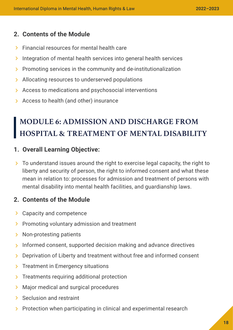#### **2. Contents of the Module**

- **Financial resources for mental health care**
- $\lambda$  Integration of mental health services into general health services
- $\triangleright$  Promoting services in the community and de-institutionalization
- > Allocating resources to underserved populations
- Access to medications and psychosocial interventions
- Access to health (and other) insurance

### **MODULE 6: ADMISSION AND DISCHARGE FROM HOSPITAL & TREATMENT OF MENTAL DISABILITY**

#### **1. Overall Learning Objective:**

 $\geq$  To understand issues around the right to exercise legal capacity, the right to liberty and security of person, the right to informed consent and what these mean in relation to: processes for admission and treatment of persons with mental disability into mental health facilities, and guardianship laws.

#### **2. Contents of the Module**

- > Capacity and competence
- $\triangleright$  Promoting voluntary admission and treatment
- > Non-protesting patients
- $\lambda$  Informed consent, supported decision making and advance directives
- > Deprivation of Liberty and treatment without free and informed consent
- $\sum$  Treatment in Emergency situations
- $\sum$  Treatments requiring additional protection
- **Major medical and surgical procedures**
- Seclusion and restraint
- $\triangleright$  Protection when participating in clinical and experimental research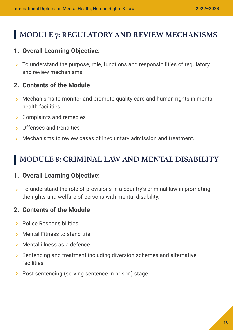#### **MODULE 7: REGULATORY AND REVIEW MECHANISMS**

#### **1. Overall Learning Objective:**

 $\rightarrow$  To understand the purpose, role, functions and responsibilities of regulatory and review mechanisms.

#### **2. Contents of the Module**

- Mechanisms to monitor and promote quality care and human rights in mental health facilities
- **S** Complaints and remedies
- Offenses and Penalties
- **Mechanisms to review cases of involuntary admission and treatment.**

#### **MODULE 8: CRIMINAL LAW AND MENTAL DISABILITY**

#### **1. Overall Learning Objective:**

 $\rightarrow$  To understand the role of provisions in a country's criminal law in promoting the rights and welfare of persons with mental disability.

#### **2. Contents of the Module**

- > Police Responsibilities
- **Mental Fitness to stand trial**
- Mental illness as a defence
- Sentencing and treatment including diversion schemes and alternative facilities
- > Post sentencing (serving sentence in prison) stage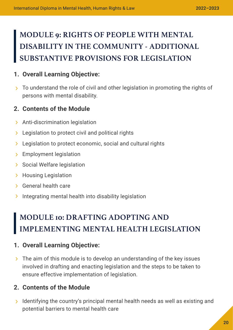### **MODULE 9: RIGHTS OF PEOPLE WITH MENTAL DISABILITY IN THE COMMUNITY - ADDITIONAL SUBSTANTIVE PROVISIONS FOR LEGISLATION**

#### **1. Overall Learning Objective:**

 $\rightarrow$  To understand the role of civil and other legislation in promoting the rights of persons with mental disability.

#### **2. Contents of the Module**

- > Anti-discrimination legislation
- **EXEC** Legislation to protect civil and political rights
- **EXEC** Legislation to protect economic, social and cultural rights
- > Employment legislation
- > Social Welfare legislation
- > Housing Legislation
- General health care
- Integrating mental health into disability legislation

### **MODULE 10: DRAFTING ADOPTING AND IMPLEMENTING MENTAL HEALTH LEGISLATION**

#### **1. Overall Learning Objective:**

 $\geq$  The aim of this module is to develop an understanding of the key issues involved in drafting and enacting legislation and the steps to be taken to ensure effective implementation of legislation.

#### **2. Contents of the Module**

 $\lambda$  Identifying the country's principal mental health needs as well as existing and potential barriers to mental health care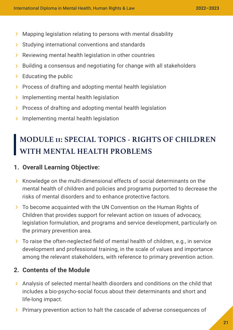- Mapping legislation relating to persons with mental disability
- $\triangleright$  Studying international conventions and standards
- $\triangleright$  Reviewing mental health legislation in other countries
- $\triangleright$  Building a consensus and negotiating for change with all stakeholders
- $\geq$  Educating the public
- > Process of drafting and adopting mental health legislation
- $\sum$  Implementing mental health legislation
- $\triangleright$  Process of drafting and adopting mental health legislation
- $\sum$  Implementing mental health legislation

### **MODULE 11: SPECIAL TOPICS - RIGHTS OF CHILDREN WITH MENTAL HEALTH PROBLEMS**

#### **1. Overall Learning Objective:**

- $\triangleright$  Knowledge on the multi-dimensional effects of social determinants on the mental health of children and policies and programs purported to decrease the risks of mental disorders and to enhance protective factors.
- To become acquainted with the UN Convention on the Human Rights of Children that provides support for relevant action on issues of advocacy, legislation formulation, and programs and service development, particularly on the primary prevention area.
- To raise the often-neglected field of mental health of children, e.g., in service development and professional training, in the scale of values and importance among the relevant stakeholders, with reference to primary prevention action.

#### **2. Contents of the Module**

- Analysis of selected mental health disorders and conditions on the child that includes a bio-psycho-social focus about their determinants and short and life-long impact.
- > Primary prevention action to halt the cascade of adverse consequences of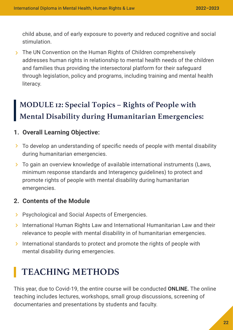child abuse, and of early exposure to poverty and reduced cognitive and social stimulation.

> The UN Convention on the Human Rights of Children comprehensively addresses human rights in relationship to mental health needs of the children and families thus providing the intersectoral platform for their safeguard through legislation, policy and programs, including training and mental health literacy.

### **MODULE 12: Special Topics – Rights of People with Mental Disability during Humanitarian Emergencies:**

#### **1. Overall Learning Objective:**

- To develop an understanding of specific needs of people with mental disability during humanitarian emergencies.
- To gain an overview knowledge of available international instruments (Laws, minimum response standards and Interagency guidelines) to protect and promote rights of people with mental disability during humanitarian emergencies.

#### **2. Contents of the Module**

- **> Psychological and Social Aspects of Emergencies.**
- **International Human Rights Law and International Humanitarian Law and their** relevance to people with mental disability in of humanitarian emergencies.
- International standards to protect and promote the rights of people with mental disability during emergencies.

### **TEACHING METHODS**

This year, due to Covid-19, the entire course will be conducted **ONLINE.** The online teaching includes lectures, workshops, small group discussions, screening of documentaries and presentations by students and faculty.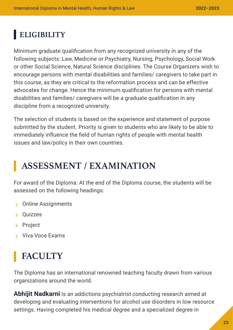### **ELIGIBILITY**

Minimum graduate qualification from any recognized university in any of the following subjects: Law, Medicine or Psychiatry, Nursing, Psychology, Social Work or other Social Science, Natural Science disciplines. The Course Organizers wish to encourage persons with mental disabilities and families/ caregivers to take part in this course, as they are critical to the reformation process and can be effective advocates for change. Hence the minimum qualification for persons with mental disabilities and families/ caregivers will be a graduate qualification in any discipline from a recognized university.

The selection of students is based on the experience and statement of purpose submitted by the student. Priority is given to students who are likely to be able to immediately influence the field of human rights of people with mental health issues and law/policy in their own countries.

### **ASSESSMENT / EXAMINATION**

For award of the Diploma: At the end of the Diploma course, the students will be assessed on the following headings:

- Online Assignments
- Quizzes
- > Project
- Viva Voce Exams

### **FACULTY**

The Diploma has an international renowned teaching faculty drawn from various organizations around the world.

**Abhijit Nadkarni** Is an addictions psychiatrist conducting research aimed at developing and evaluating interventions for alcohol use disorders in low resource settings. Having completed his medical degree and a specialized degree in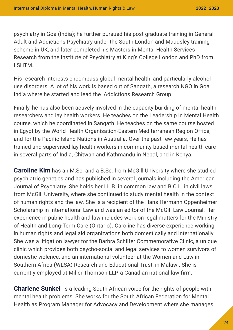psychiatry in Goa (India); he further pursued his post graduate training in General Adult and Addictions Psychiatry under the South London and Maudsley training scheme in UK, and later completed his Masters in Mental Health Services Research from the Institute of Psychiatry at King's College London and PhD from LSHTM.

His research interests encompass global mental health, and particularly alcohol use disorders. A lot of his work is based out of Sangath, a research NGO in Goa, India where he started and lead the Addictions Research Group.

Finally, he has also been actively involved in the capacity building of mental health researchers and lay health workers. He teaches on the Leadership in Mental Health course, which he coordinated in Sangath. He teaches on the same course hosted in Egypt by the World Health Organisation-Eastern Mediterranean Region Office; and for the Pacific Island Nations in Australia. Over the past few years, He has trained and supervised lay health workers in community-based mental health care in several parts of India, Chitwan and Kathmandu in Nepal, and in Kenya.

**Caroline Kim** has an M.Sc. and a B.Sc. from McGill University where she studied psychiatric genetics and has published in several journals including the American Journal of Psychiatry. She holds her LL.B. in common law and B.C.L. in civil laws from McGill University, where she continued to study mental health in the context of human rights and the law. She is a recipient of the Hans Hermann Oppenheimer Scholarship in International Law and was an editor of the McGill Law Journal. Her experience in public health and law includes work on legal matters for the Ministry of Health and Long-Term Care (Ontario). Caroline has diverse experience working in human rights and legal aid organizations both domestically and internationally. She was a litigation lawyer for the Barbra Schlifer Commemorative Clinic, a unique clinic which provides both psycho-social and legal services to women survivors of domestic violence, and an international volunteer at the Women and Law in Southern Africa (WLSA) Research and Educational Trust, in Malawi. She is currently employed at Miller Thomson LLP, a Canadian national law firm.

**Charlene Sunkel** is a leading South African voice for the rights of people with mental health problems. She works for the South African Federation for Mental Health as Program Manager for Advocacy and Development where she manages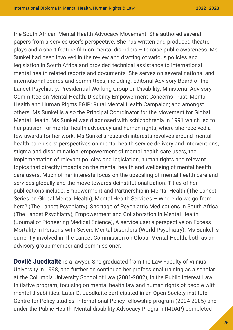the South African Mental Health Advocacy Movement. She authored several papers from a service user's perspective. She has written and produced theatre plays and a short feature film on mental disorders – to raise public awareness. Ms Sunkel had been involved in the review and drafting of various policies and legislation in South Africa and provided technical assistance to international mental health related reports and documents. She serves on several national and international boards and committees, including: Editorial Advisory Board of the Lancet Psychiatry; Presidential Working Group on Disability; Ministerial Advisory Committee on Mental Health; Disability Empowerment Concerns Trust; Mental Health and Human Rights FGIP; Rural Mental Health Campaign; and amongst others. Ms Sunkel is also the Principal Coordinator for the Movement for Global Mental Health. Ms Sunkel was diagnosed with schizophrenia in 1991 which led to her passion for mental health advocacy and human rights, where she received a few awards for her work. Ms Sunkel's research interests revolves around mental health care users' perspectives on mental health service delivery and interventions, stigma and discrimination, empowerment of mental health care users, the implementation of relevant policies and legislation, human rights and relevant topics that directly impacts on the mental health and wellbeing of mental health care users. Much of her interests focus on the upscaling of mental health care and services globally and the move towards deinstitutionalization. Titles of her publications include: Empowerment and Partnership in Mental Health (The Lancet Series on Global Mental Health), Mental Health Services – Where do we go from here? (The Lancet Psychiatry), Shortage of Psychiatric Medications in South Africa (The Lancet Psychiatry), Empowerment and Collaboration in Mental Health (Journal of Pioneering Medical Science), A service user's perspective on Excess Mortality in Persons with Severe Mental Disorders (World Psychiatry). Ms Sunkel is currently involved in The Lancet Commission on Global Mental Health, both as an advisory group member and commissioner.

**Dovile Juodkaite** is a lawyer. She graduated from the Law Faculty of Vilnius University in 1998, and further on continued her professional training as a scholar at the Columbia University School of Law (2001-2002), in the Public Interest Law Initiative program, focusing on mental health law and human rights of people with mental disabilities. Later D. Juodkaite participated in an Open Society institute Centre for Policy studies, International Policy fellowship program (2004-2005) and under the Public Health, Mental disability Advocacy Program (MDAP) completed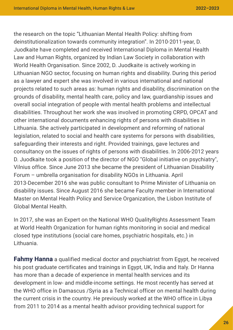the research on the topic "Lithuanian Mental Health Policy: shifting from deinstitutionalization towards community integration". In 2010-2011-year, D. Juodkaite have completed and received International Diploma in Mental Health Law and Human Rights, organized by Indian Law Society in collaboration with World Health Organisation. Since 2002, D. Juodkaite is actively working in Lithuanian NGO sector, focusing on human rights and disability. During this period as a lawyer and expert she was involved in various international and national projects related to such areas as: human rights and disability, discrimination on the grounds of disability, mental health care, policy and law, guardianship issues and overall social integration of people with mental health problems and intellectual disabilities. Throughout her work she was involved in promoting CRPD, OPCAT and other international documents enhancing rights of persons with disabilities in Lithuania. She actively participated in development and reforming of national legislation, related to social and health care systems for persons with disabilities, safeguarding their interests and right. Provided trainings, gave lectures and consultancy on the issues of rights of persons with disabilities. In 2006-2012 years D. Juodkaite took a position of the director of NGO "Global initiative on psychiatry", Vilnius office. Since June 2013 she became the president of Lithuanian Disability Forum – umbrella organisation for disability NGOs in Lithuania. April 2013-December 2016 she was public consultant to Prime Minister of Lithuania on disability issues. Since August 2016 she became Faculty member in International Master on Mental Health Policy and Service Organization, the Lisbon Institute of Global Mental Health.

In 2017, she was an Expert on the National WHO QualityRights Assessment Team at World Health Organization for human rights monitoring in social and medical closed type institutions (social care homes, psychiatric hospitals, etc.) in Lithuania.

**Fahmy Hanna** a qualified medical doctor and psychiatrist from Egypt, he received his post graduate certificates and trainings in Egypt, UK, India and Italy. Dr Hanna has more than a decade of experience in mental health services and its development in low- and middle-income settings. He most recently has served at the WHO office in Damascus /Syria as a Technical officer on mental health during the current crisis in the country. He previously worked at the WHO office in Libya from 2011 to 2014 as a mental health advisor providing technical support for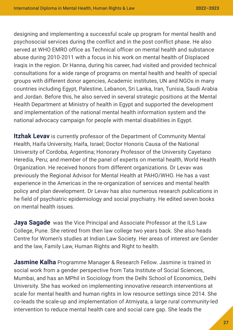designing and implementing a successful scale up program for mental health and psychosocial services during the conflict and in the post conflict phase. He also served at WHO EMRO office as Technical officer on mental health and substance abuse during 2010-2011 with a focus in his work on mental health of Displaced Iraqis in the region. Dr Hanna, during his career, had visited and provided technical consultations for a wide range of programs on mental health and health of special groups with different donor agencies, Academic institutes, UN and NGOs in many countries including Egypt, Palestine, Lebanon, Sri Lanka, Iran, Tunisia, Saudi Arabia and Jordan. Before this, he also served in several strategic positions at the Mental Health Department at Ministry of health in Egypt and supported the development and implementation of the national mental health information system and the national advocacy campaign for people with mental disabilities in Egypt.

**Itzhak Levav** is currently professor of the Department of Community Mental Health, Haifa University, Haifa, Israel; Doctor Honoris Causa of the National University of Cordoba, Argentina; Honorary Professor of the University Cayetano Heredia, Peru; and member of the panel of experts on mental health, World Health Organization. He received honors from different organizations. Dr Levav was previously the Regional Advisor for Mental Health at PAHO/WHO. He has a vast experience in the Americas in the re-organization of services and mental health policy and plan development. Dr Levav has also numerous research publications in he field of psychiatric epidemiology and social psychiatry. He edited seven books on mental health issues.

**Jaya Sagade** was the Vice Principal and Associate Professor at the ILS Law College, Pune. She retired from then law college two years back. She also heads Centre for Women's studies at Indian Law Society. Her areas of interest are Gender and the law, Family Law, Human Rights and Right to health.

**Jasmine Kalha** Programme Manager & Research Fellow. Jasmine is trained in social work from a gender perspective from Tata Institute of Social Sciences, Mumbai, and has an MPhil in Sociology from the Delhi School of Economics, Delhi University. She has worked on implementing innovative research interventions at scale for mental health and human rights in low resource settings since 2014. She co-leads the scale-up and implementation of Atmiyata, a large rural community-led intervention to reduce mental health care and social care gap. She leads the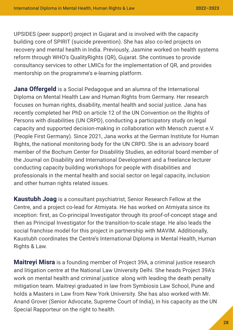UPSIDES (peer support) project in Gujarat and is involved with the capacity building core of SPIRIT (suicide prevention). She has also co-led projects on recovery and mental health in India. Previously, Jasmine worked on health systems reform through WHO's QualityRights (QR), Gujarat. She continues to provide consultancy services to other LMICs for the implementation of QR, and provides mentorship on the programme's e-learning platform.

**Jana Offergeld** is a Social Pedagogue and an alumna of the International Diploma on Mental Health Law and Human Rights from Germany. Her research focuses on human rights, disability, mental health and social justice. Jana has recently completed her PhD on article 12 of the UN Convention on the Rights of Persons with disabilities (UN CRPD), conducting a participatory study on legal capacity and supported decision-making in collaboration with Mensch zuerst e.V. (People First Germany). Since 2021, Jana works at the German Institute for Human Rights, the national monitoring body for the UN CRPD. She is an advisory board member of the Bochum Center for Disabilitiy Studies, an editorial board member of the Journal on Disability and International Development and a freelance lecturer conducting capacity building workshops for people with disabilities and professionals in the mental health and social sector on legal capacity, inclusion and other human rights related issues.

**Kaustubh Joag** is a consultant psychiatrist, Senior Research Fellow at the Centre, and a project co-lead for Atmiyata. He has worked on Atmiyata since its inception: first, as Co-principal Investigator through its proof-of-concept stage and then as Principal Investigator for the transition-to-scale stage. He also leads the social franchise model for this project in partnership with MAVIM. Additionally, Kaustubh coordinates the Centre's International Diploma in Mental Health, Human Rights & Law.

**Maitreyi Misra** is a founding member of Project 39A, a criminal justice research and litigation centre at the National Law University Delhi. She heads Project 39A's work on mental health and criminal justice along with leading the death penalty mitigation team. Maitreyi graduated in law from Symbiosis Law School, Pune and holds a Masters in Law from New York University. She has also worked with Mr. Anand Grover (Senior Advocate, Supreme Court of India), in his capacity as the UN Special Rapporteur on the right to health.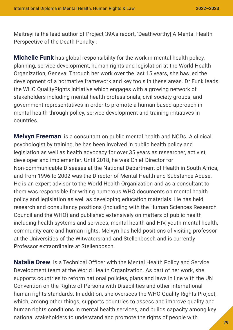Maitreyi is the lead author of Project 39A's report, 'Deathworthy| A Mental Health Perspective of the Death Penalty'.

**Michelle Funk** has global responsibility for the work in mental health policy, planning, service development, human rights and legislation at the World Health Organization, Geneva. Through her work over the last 15 years, she has led the development of a normative framework and key tools in these areas. Dr Funk leads the WHO QualityRights initiative which engages with a growing network of stakeholders including mental health professionals, civil society groups, and government representatives in order to promote a human based approach in mental health through policy, service development and training initiatives in countries.

**Melvyn Freeman** is a consultant on public mental health and NCDs. A clinical psychologist by training, he has been involved in public health policy and legislation as well as health advocacy for over 35 years as researcher, activist, developer and implementer. Until 2018, he was Chief Director for Non-communicable Diseases at the National Department of Health in South Africa, and from 1996 to 2002 was the Director of Mental Health and Substance Abuse. He is an expert advisor to the World Health Organization and as a consultant to them was responsible for writing numerous WHO documents on mental health policy and legislation as well as developing education materials. He has held research and consultancy positions (including with the Human Sciences Research Council and the WHO) and published extensively on matters of public health including health systems and services, mental health and HIV, youth mental health, community care and human rights. Melvyn has held positions of visiting professor at the Universities of the Witwatersrand and Stellenbosch and is currently Professor extraordinaire at Stellenbosch.

**Natalie Drew** is a Technical Officer with the Mental Health Policy and Service Development team at the World Health Organization. As part of her work, she supports countries to reform national policies, plans and laws in line with the UN Convention on the Rights of Persons with Disabilities and other international human rights standards. In addition, she oversees the WHO Quality Rights Project, which, among other things, supports countries to assess and improve quality and human rights conditions in mental health services, and builds capacity among key national stakeholders to understand and promote the rights of people with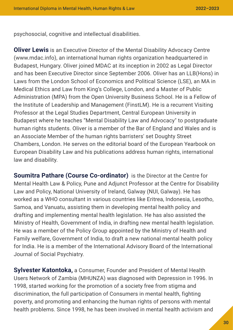psychosocial, cognitive and intellectual disabilities.

**Oliver Lewis** is an Executive Director of the Mental Disability Advocacy Centre (www.mdac.info), an international human rights organization headquartered in Budapest, Hungary. Oliver joined MDAC at its inception in 2002 as Legal Director and has been Executive Director since September 2006. Oliver has an LLB(Hons) in Laws from the London School of Economics and Political Science (LSE), an MA in Medical Ethics and Law from King's College, London, and a Master of Public Administration (MPA) from the Open University Business School. He is a Fellow of the Institute of Leadership and Management (FinstLM). He is a recurrent Visiting Professor at the Legal Studies Department, Central European University in Budapest where he teaches "Mental Disability Law and Advocacy" to postgraduate human rights students. Oliver is a member of the Bar of England and Wales and is an Associate Member of the human rights barristers' set Doughty Street Chambers, London. He serves on the editorial board of the European Yearbook on European Disability Law and his publications address human rights, international law and disability.

**Soumitra Pathare (Course Co-ordinator)** is the Director at the Centre for Mental Health Law & Policy, Pune and Adjunct Professor at the Centre for Disability Law and Policy, National University of Ireland, Galway (NUI, Galway). He has worked as a WHO consultant in various countries like Eritrea, Indonesia, Lesotho, Samoa, and Vanuatu, assisting them in developing mental health policy and drafting and implementing mental health legislation. He has also assisted the Ministry of Health, Government of India, in drafting new mental health legislation. He was a member of the Policy Group appointed by the Ministry of Health and Family welfare, Government of India, to draft a new national mental health policy for India. He is a member of the International Advisory Board of the International Journal of Social Psychiatry.

**Sylvester Katontoka,** a Consumer, Founder and President of Mental Health Users Network of Zambia (MHUNZA) was diagnosed with Depression in 1996. In 1998, started working for the promotion of a society free from stigma and discrimination, the full participation of Consumers in mental health, fighting poverty, and promoting and enhancing the human rights of persons with mental health problems. Since 1998, he has been involved in mental health activism and